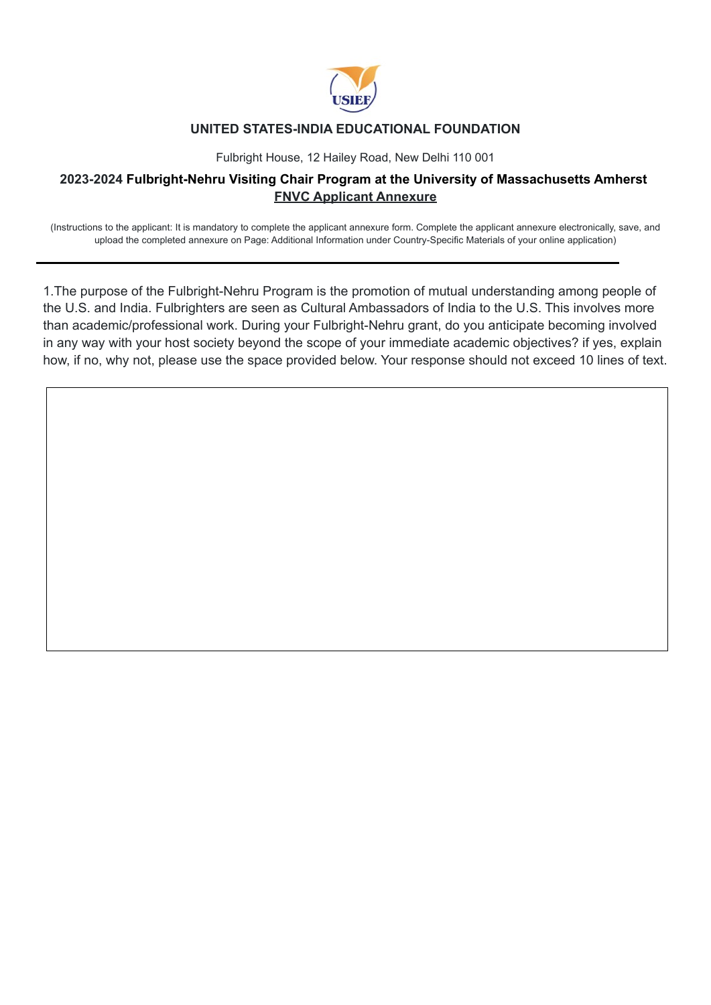

## **UNITED STATES-INDIA EDUCATIONAL FOUNDATION**

Fulbright House, 12 Hailey Road, New Delhi 110 001

## **2023-2024 Fulbright-Nehru Visiting Chair Program at the University of Massachusetts Amherst FNVC Applicant Annexure**

(Instructions to the applicant: It is mandatory to complete the applicant annexure form. Complete the applicant annexure electronically, save, and upload the completed annexure on Page: Additional Information under Country-Specific Materials of your online application)

1.The purpose of the Fulbright-Nehru Program is the promotion of mutual understanding among people of the U.S. and India. Fulbrighters are seen as Cultural Ambassadors of India to the U.S. This involves more than academic/professional work. During your Fulbright-Nehru grant, do you anticipate becoming involved in any way with your host society beyond the scope of your immediate academic objectives? if yes, explain how, if no, why not, please use the space provided below. Your response should not exceed 10 lines of text.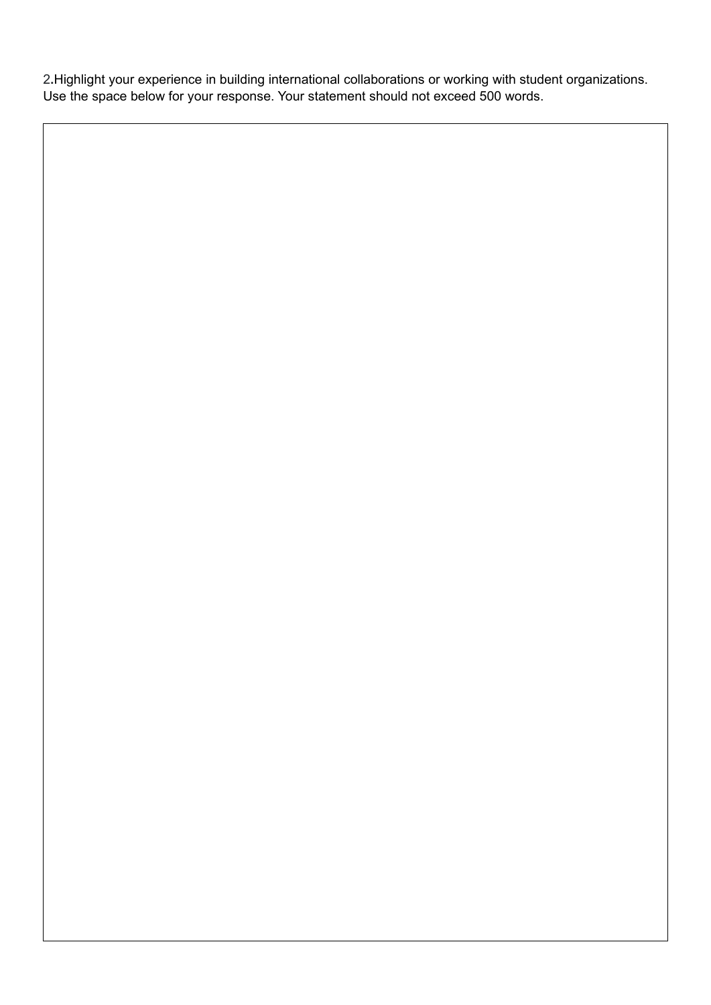2**.**Highlight your experience in building international collaborations or working with student organizations. Use the space below for your response. Your statement should not exceed 500 words.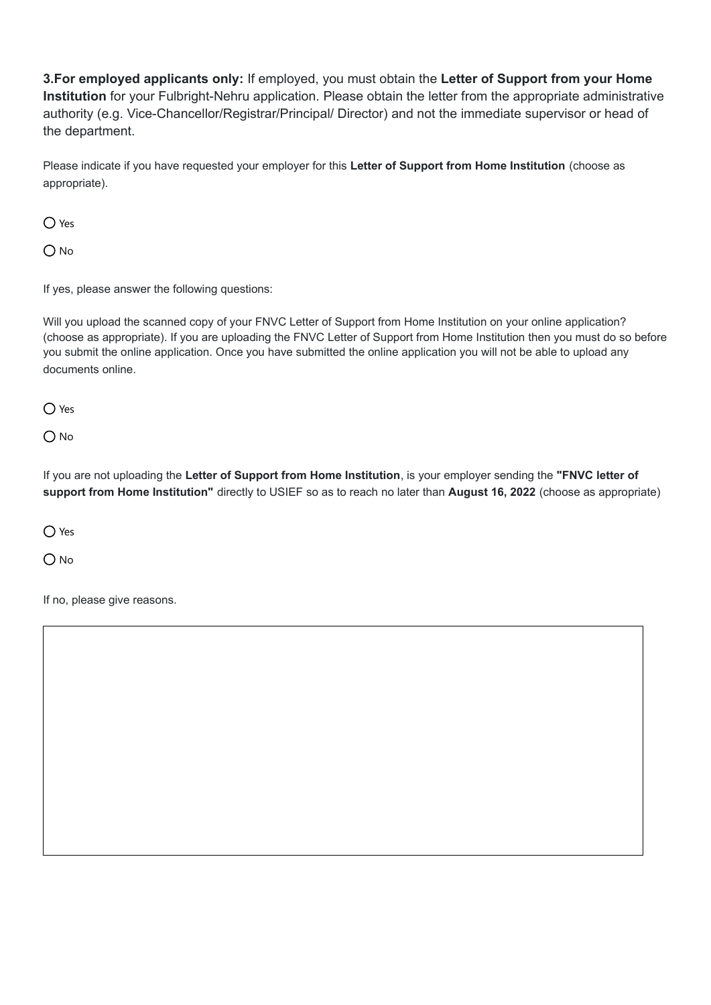**3.For employed applicants only:** If employed, you must obtain the **Letter of Support from your Home Institution** for your Fulbright-Nehru application. Please obtain the letter from the appropriate administrative authority (e.g. Vice-Chancellor/Registrar/Principal/ Director) and not the immediate supervisor or head of the department.

Please indicate if you have requested your employer for this **Letter of Support from Home Institution** (choose as appropriate).

 $\bigcap$  Yes

O<sub>No</sub>

If yes, please answer the following questions:

Will you upload the scanned copy of your FNVC Letter of Support from Home Institution on your online application? (choose as appropriate). If you are uploading the FNVC Letter of Support from Home Institution then you must do so before you submit the online application. Once you have submitted the online application you will not be able to upload any documents online.

 $\bigcap$  Yes

 $O$  No

If you are not uploading the **Letter of Support from Home Institution**, is your employer sending the **"FNVC letter of support from Home Institution"** directly to USIEF so as to reach no later than **August 16, 2022** (choose as appropriate)

 $\bigcap$  Yes

 $O$  No

If no, please give reasons.